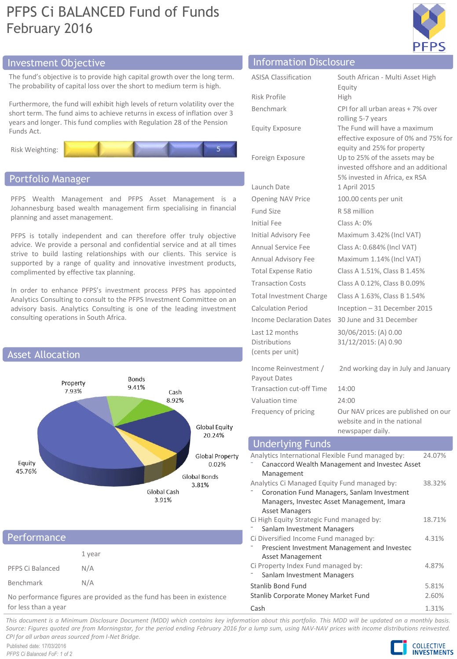# PFPS Ci BALANCED Fund of Funds February 2016



# Investment Objective Information Disclosure

The fund's objective is to provide high capital growth over the long term. The probability of capital loss over the short to medium term is high.

Furthermore, the fund will exhibit high levels of return volatility over the short term. The fund aims to achieve returns in excess of inflation over 3 years and longer. This fund complies with Regulation 28 of the Pension Funds Act.





## Portfolio Manager

PFPS Wealth Management and PFPS Asset Management is a Johannesburg based wealth management firm specialising in financial planning and asset management.

PFPS is totally independent and can therefore offer truly objective advice. We provide a personal and confidential service and at all times strive to build lasting relationships with our clients. This service is supported by a range of quality and innovative investment products, complimented by effective tax planning.

In order to enhance PFPS's investment process PFPS has appointed Analytics Consulting to consult to the PFPS Investment Committee on an advisory basis. Analytics Consulting is one of the leading investment consulting operations in South Africa.



| Performance                                                           |        |  |
|-----------------------------------------------------------------------|--------|--|
|                                                                       | 1 year |  |
| PFPS Ci Balanced                                                      | N/A    |  |
| Benchmark                                                             | N/A    |  |
| No performance figures are provided as the fund has been in existence |        |  |

for less than a year

| <b>ASISA Classification</b>                         | South African - Multi Asset High<br>Equity                                                             |
|-----------------------------------------------------|--------------------------------------------------------------------------------------------------------|
| <b>Risk Profile</b>                                 | High                                                                                                   |
| Benchmark                                           | CPI for all urban areas + 7% over<br>rolling 5-7 years                                                 |
| <b>Equity Exposure</b>                              | The Fund will have a maximum<br>effective exposure of 0% and 75% for<br>equity and 25% for property    |
| Foreign Exposure                                    | Up to 25% of the assets may be<br>invested offshore and an additional<br>5% invested in Africa, ex RSA |
| Launch Date                                         | 1 April 2015                                                                                           |
| Opening NAV Price                                   | 100.00 cents per unit                                                                                  |
| Fund Size                                           | R 58 million                                                                                           |
| Initial Fee                                         | Class A: 0%                                                                                            |
| Initial Advisory Fee                                | Maximum 3.42% (Incl VAT)                                                                               |
| Annual Service Fee                                  | Class A: 0.684% (Incl VAT)                                                                             |
| Annual Advisory Fee                                 | Maximum 1.14% (Incl VAT)                                                                               |
| <b>Total Expense Ratio</b>                          | Class A 1.51%, Class B 1.45%                                                                           |
| <b>Transaction Costs</b>                            | Class A 0.12%, Class B 0.09%                                                                           |
| <b>Total Investment Charge</b>                      | Class A 1.63%, Class B 1.54%                                                                           |
| <b>Calculation Period</b>                           | Inception - 31 December 2015                                                                           |
| Income Declaration Dates                            | 30 June and 31 December                                                                                |
| Last 12 months<br>Distributions<br>(cents per unit) | 30/06/2015: (A) 0.00<br>31/12/2015: (A) 0.90                                                           |

Income Reinvestment / Payout Dates 2nd working day in July and January Transaction cut-off Time 14:00 Valuation time 24:00 Frequency of pricing Our NAV prices are published on our website and in the national

newspaper daily.

## Underlying Funds

| Analytics International Flexible Fund managed by: | 24.07% |
|---------------------------------------------------|--------|
| Canaccord Wealth Management and Investec Asset    |        |
| Management                                        |        |
| Analytics Ci Managed Equity Fund managed by:      | 38.32% |
| Coronation Fund Managers, Sanlam Investment       |        |
| Managers, Investec Asset Management, Imara        |        |
| Asset Managers                                    |        |
| Ci High Equity Strategic Fund managed by:         | 18.71% |
| Sanlam Investment Managers                        |        |
| Ci Diversified Income Fund managed by:            | 4.31%  |
| Prescient Investment Management and Investec      |        |
| Asset Management                                  |        |
| Ci Property Index Fund managed by:                | 4.87%  |
| Sanlam Investment Managers                        |        |
| Stanlib Bond Fund                                 | 5.81%  |
| Stanlib Corporate Money Market Fund               | 2.60%  |
| Cash                                              | 1.31%  |

This document is a Minimum Disclosure Document (MDD) which contains key information about this portfolio. This MDD will be updated on a monthly basis. Source: Figures quoted are from Morningstar, for the period ending February 2016 for a lump sum, using NAV-NAV prices with income distributions reinvested. *CPI for all urban areas sourced from I-Net Bridge.*

Published date: 17/03/2016 *PFPS Ci Balanced FoF: 1 of 2*